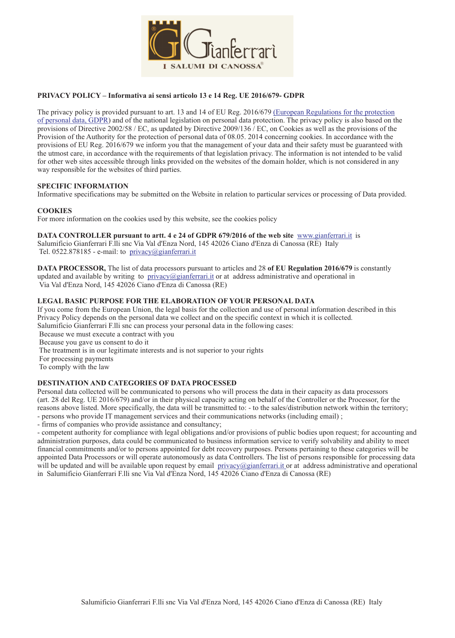

### **PRIVACY POLICY – Informativa ai sensi articolo 13 e 14 Reg. UE 2016/679- GDPR**

The privacy policy is provided pursuant to art. 13 and 14 of EU Reg. 2016/679 (European Regulations for the protection of personal data, GDPR) and of the national legislation on personal data protection. The privacy policy is also based on the provisions of Directive 2002/58 / EC, as updated by Directive 2009/136 / EC, on Cookies as well as the provisions of the Provision of the Authority for the protection of personal data of 08.05. 2014 concerning cookies. In accordance with the provisions of EU Reg. 2016/679 we inform you that the management of your data and their safety must be guaranteed with the utmost care, in accordance with the requirements of that legislation privacy. The information is not intended to be valid for other web sites accessible through links provided on the websites of the domain holder, which is not considered in any way responsible for the websites of third parties.

### **SPECIFIC INFORMATION**

Informative specifications may be submitted on the Website in relation to particular services or processing of Data provided.

### **COOKIES**

For more information on the cookies used by this website, see the cookies policy

**DATA CONTROLLER pursuant to artt. 4 e 24 of GDPR 679/2016 of the web site** www.gianferrari.it is Salumificio Gianferrari F.lli snc Via Val d'Enza Nord, 145 42026 Ciano d'Enza di Canossa (RE) Italy Tel. 0522.878185 - e-mail: to privacy@gianferrari.it

**DATA PROCESSOR,** The list of data processors pursuant to articles and 28 **of EU Regulation 2016/679** is constantly updated and available by writing to privacy@gianferrari.it or at address administrative and operational in Via Val d'Enza Nord, 145 42026 Ciano d'Enza di Canossa (RE)

### **LEGAL BASIC PURPOSE FOR THE ELABORATION OF YOUR PERSONAL DATA**

If you come from the European Union, the legal basis for the collection and use of personal information described in this Privacy Policy depends on the personal data we collect and on the specific context in which it is collected. Salumificio Gianferrari F.lli snc can process your personal data in the following cases:

Because we must execute a contract with you

Because you gave us consent to do it

The treatment is in our legitimate interests and is not superior to your rights

For processing payments

To comply with the law

## **DESTINATION AND CATEGORIES OF DATA PROCESSED**

Personal data collected will be communicated to persons who will process the data in their capacity as data processors (art. 28 del Reg. UE 2016/679) and/or in their physical capacity acting on behalf of the Controller or the Processor, for the reasons above listed. More specifically, the data will be transmitted to: - to the sales/distribution network within the territory; - persons who provide IT management services and their communications networks (including email) ;

- firms of companies who provide assistance and consultancy;

- competent authority for compliance with legal obligations and/or provisions of public bodies upon request; for accounting and administration purposes, data could be communicated to business information service to verify solvability and ability to meet financial commitments and/or to persons appointed for debt recovery purposes. Persons pertaining to these categories will be appointed Data Processors or will operate autonomously as data Controllers. The list of persons responsible for processing data will be updated and will be available upon request by email privacy@gianferrari.it or at address administrative and operational in Salumificio Gianferrari F.lli snc Via Val d'Enza Nord, 145 42026 Ciano d'Enza di Canossa (RE)